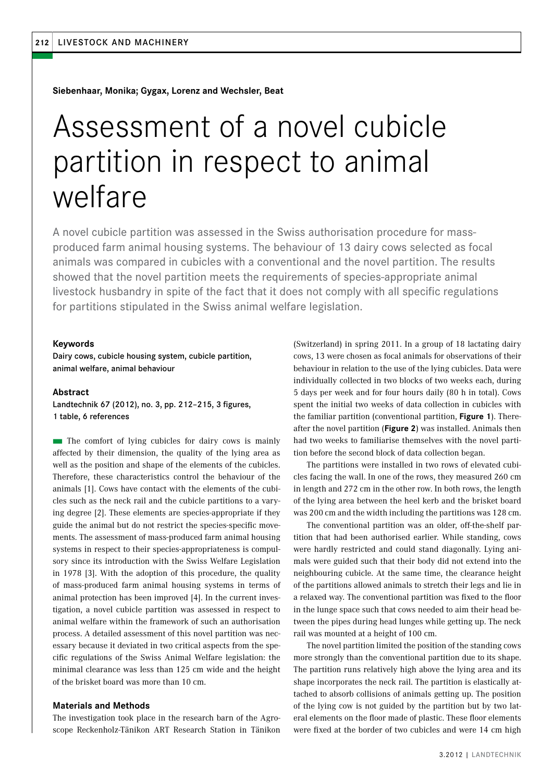**Siebenhaar, Monika; Gygax, Lorenz and Wechsler, Beat**

# Assessment of a novel cubicle partition in respect to animal welfare

A novel cubicle partition was assessed in the Swiss authorisation procedure for massproduced farm animal housing systems. The behaviour of 13 dairy cows selected as focal animals was compared in cubicles with a conventional and the novel partition. The results showed that the novel partition meets the requirements of species-appropriate animal livestock husbandry in spite of the fact that it does not comply with all specific regulations for partitions stipulated in the Swiss animal welfare legislation.

#### **Keywords**

Dairy cows, cubicle housing system, cubicle partition, animal welfare, animal behaviour

#### **Abstract**

Landtechnik 67 (2012), no. 3, pp. 212–215, 3 figures, 1 table, 6 references

 $\blacksquare$  The comfort of lying cubicles for dairy cows is mainly affected by their dimension, the quality of the lying area as well as the position and shape of the elements of the cubicles. Therefore, these characteristics control the behaviour of the animals [1]. Cows have contact with the elements of the cubicles such as the neck rail and the cubicle partitions to a varying degree [2]. These elements are species-appropriate if they guide the animal but do not restrict the species-specific movements. The assessment of mass-produced farm animal housing systems in respect to their species-appropriateness is compulsory since its introduction with the Swiss Welfare Legislation in 1978 [3]. With the adoption of this procedure, the quality of mass-produced farm animal housing systems in terms of animal protection has been improved [4]. In the current investigation, a novel cubicle partition was assessed in respect to animal welfare within the framework of such an authorisation process. A detailed assessment of this novel partition was necessary because it deviated in two critical aspects from the specific regulations of the Swiss Animal Welfare legislation: the minimal clearance was less than 125 cm wide and the height of the brisket board was more than 10 cm.

## **Materials and Methods**

The investigation took place in the research barn of the Agroscope Reckenholz-Tänikon ART Research Station in Tänikon (Switzerland) in spring 2011. In a group of 18 lactating dairy cows, 13 were chosen as focal animals for observations of their behaviour in relation to the use of the lying cubicles. Data were individually collected in two blocks of two weeks each, during 5 days per week and for four hours daily (80 h in total). Cows spent the initial two weeks of data collection in cubicles with the familiar partition (conventional partition, **Figure 1**). Thereafter the novel partition (**Figure 2**) was installed. Animals then had two weeks to familiarise themselves with the novel partition before the second block of data collection began.

The partitions were installed in two rows of elevated cubicles facing the wall. In one of the rows, they measured 260 cm in length and 272 cm in the other row. In both rows, the length of the lying area between the heel kerb and the brisket board was 200 cm and the width including the partitions was 128 cm.

The conventional partition was an older, off-the-shelf partition that had been authorised earlier. While standing, cows were hardly restricted and could stand diagonally. Lying animals were guided such that their body did not extend into the neighbouring cubicle. At the same time, the clearance height of the partitions allowed animals to stretch their legs and lie in a relaxed way. The conventional partition was fixed to the floor in the lunge space such that cows needed to aim their head between the pipes during head lunges while getting up. The neck rail was mounted at a height of 100 cm.

The novel partition limited the position of the standing cows more strongly than the conventional partition due to its shape. The partition runs relatively high above the lying area and its shape incorporates the neck rail. The partition is elastically attached to absorb collisions of animals getting up. The position of the lying cow is not guided by the partition but by two lateral elements on the floor made of plastic. These floor elements were fixed at the border of two cubicles and were 14 cm high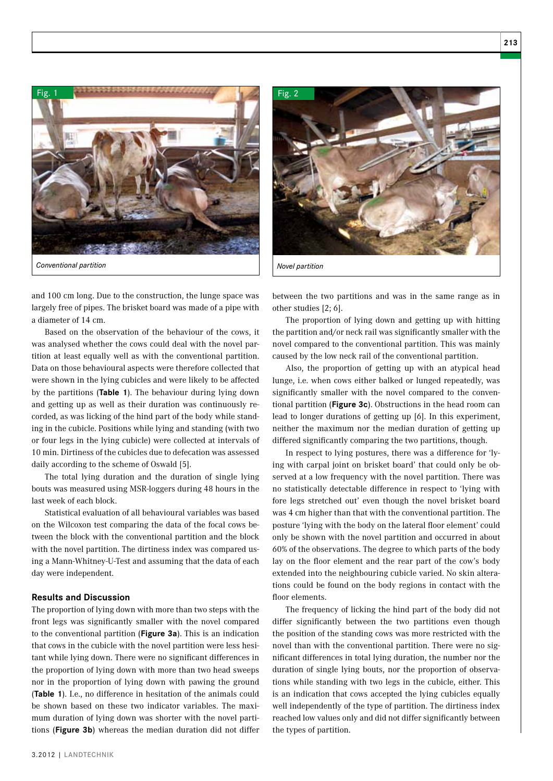

and 100 cm long. Due to the construction, the lunge space was largely free of pipes. The brisket board was made of a pipe with a diameter of 14 cm.

Based on the observation of the behaviour of the cows, it was analysed whether the cows could deal with the novel partition at least equally well as with the conventional partition. Data on those behavioural aspects were therefore collected that were shown in the lying cubicles and were likely to be affected by the partitions (**Table 1**). The behaviour during lying down and getting up as well as their duration was continuously recorded, as was licking of the hind part of the body while standing in the cubicle. Positions while lying and standing (with two or four legs in the lying cubicle) were collected at intervals of 10 min. Dirtiness of the cubicles due to defecation was assessed daily according to the scheme of Oswald [5].

The total lying duration and the duration of single lying bouts was measured using MSR-loggers during 48 hours in the last week of each block.

Statistical evaluation of all behavioural variables was based on the Wilcoxon test comparing the data of the focal cows between the block with the conventional partition and the block with the novel partition. The dirtiness index was compared using a Mann-Whitney-U-Test and assuming that the data of each day were independent.

#### **Results and Discussion**

The proportion of lying down with more than two steps with the front legs was significantly smaller with the novel compared to the conventional partition (**Figure 3a**). This is an indication that cows in the cubicle with the novel partition were less hesitant while lying down. There were no significant differences in the proportion of lying down with more than two head sweeps nor in the proportion of lying down with pawing the ground (**Table 1**). I.e., no difference in hesitation of the animals could be shown based on these two indicator variables. The maximum duration of lying down was shorter with the novel partitions (**Figure 3b**) whereas the median duration did not differ

*Novel partition* 

Fig. 2

between the two partitions and was in the same range as in other studies [2; 6].

The proportion of lying down and getting up with hitting the partition and/or neck rail was significantly smaller with the novel compared to the conventional partition. This was mainly caused by the low neck rail of the conventional partition.

Also, the proportion of getting up with an atypical head lunge, i.e. when cows either balked or lunged repeatedly, was significantly smaller with the novel compared to the conventional partition (**Figure 3c**). Obstructions in the head room can lead to longer durations of getting up [6]. In this experiment, neither the maximum nor the median duration of getting up differed significantly comparing the two partitions, though.

In respect to lying postures, there was a difference for 'lying with carpal joint on brisket board' that could only be observed at a low frequency with the novel partition. There was no statistically detectable difference in respect to 'lying with fore legs stretched out' even though the novel brisket board was 4 cm higher than that with the conventional partition. The posture 'lying with the body on the lateral floor element' could only be shown with the novel partition and occurred in about 60% of the observations. The degree to which parts of the body lay on the floor element and the rear part of the cow's body extended into the neighbouring cubicle varied. No skin alterations could be found on the body regions in contact with the floor elements.

The frequency of licking the hind part of the body did not differ significantly between the two partitions even though the position of the standing cows was more restricted with the novel than with the conventional partition. There were no significant differences in total lying duration, the number nor the duration of single lying bouts, nor the proportion of observations while standing with two legs in the cubicle, either. This is an indication that cows accepted the lying cubicles equally well independently of the type of partition. The dirtiness index reached low values only and did not differ significantly between the types of partition.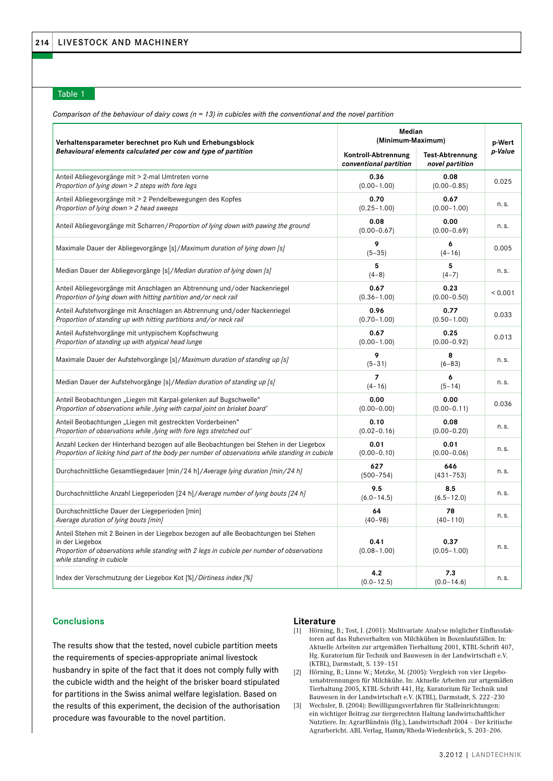### Table 1

*Comparison of the behaviour of dairy cows (n = 13) in cubicles with the conventional and the novel partition*

| Verhaltensparameter berechnet pro Kuh und Erhebungsblock<br>Behavioural elements calculated per cow and type of partition                                                                                                           | Median<br>(Minimum-Maximum)                   |                                           | p-Wert  |
|-------------------------------------------------------------------------------------------------------------------------------------------------------------------------------------------------------------------------------------|-----------------------------------------------|-------------------------------------------|---------|
|                                                                                                                                                                                                                                     | Kontroll-Abtrennung<br>conventional partition | <b>Test-Abtrennung</b><br>novel partition | p-Value |
| Anteil Abliegevorgänge mit > 2-mal Umtreten vorne<br>Proportion of lying down > 2 steps with fore legs                                                                                                                              | 0.36<br>$(0.00 - 1.00)$                       | 0.08<br>$(0.00 - 0.85)$                   | 0.025   |
| Anteil Abliegevorgänge mit > 2 Pendelbewegungen des Kopfes<br>Proportion of lying down > 2 head sweeps                                                                                                                              | 0.70<br>$(0.25 - 1.00)$                       | 0.67<br>$(0.00 - 1.00)$                   | n.s.    |
| Anteil Abliegevorgänge mit Scharren/Proportion of lying down with pawing the ground                                                                                                                                                 | 0.08<br>$(0.00 - 0.67)$                       | 0.00<br>$(0.00 - 0.69)$                   | n.s.    |
| Maximale Dauer der Abliegevorgänge [s]/Maximum duration of lying down [s]                                                                                                                                                           | 9<br>$(5 - 35)$                               | 6<br>$(4 - 16)$                           | 0.005   |
| Median Dauer der Abliegevorgänge [s]/Median duration of lying down [s]                                                                                                                                                              | 5<br>$(4-8)$                                  | 5<br>$(4 - 7)$                            | n.s.    |
| Anteil Abliegevorgänge mit Anschlagen an Abtrennung und/oder Nackenriegel<br>Proportion of lying down with hitting partition and/or neck rail                                                                                       | 0.67<br>$(0.36 - 1.00)$                       | 0.23<br>$(0.00 - 0.50)$                   | < 0.001 |
| Anteil Aufstehvorgänge mit Anschlagen an Abtrennung und/oder Nackenriegel<br>Proportion of standing up with hitting partitions and/or neck rail                                                                                     | 0.96<br>$(0.70 - 1.00)$                       | 0.77<br>$(0.50 - 1.00)$                   | 0.033   |
| Anteil Aufstehvorgänge mit untypischem Kopfschwung<br>Proportion of standing up with atypical head lunge                                                                                                                            | 0.67<br>$(0.00 - 1.00)$                       | 0.25<br>$(0.00 - 0.92)$                   | 0.013   |
| Maximale Dauer der Aufstehvorgänge [s]/Maximum duration of standing up [s]                                                                                                                                                          | 9<br>$(5 - 31)$                               | 8<br>$(6 - 83)$                           | n.s.    |
| Median Dauer der Aufstehvorgänge [s]/Median duration of standing up [s]                                                                                                                                                             | $\overline{z}$<br>$(4 - 16)$                  | 6<br>$(5 - 14)$                           | n.s.    |
| Anteil Beobachtungen "Liegen mit Karpal-gelenken auf Bugschwelle"<br>Proportion of observations while, lying with carpal joint on brisket board'                                                                                    | 0.00<br>$(0.00 - 0.00)$                       | 0.00<br>$(0.00 - 0.11)$                   | 0.036   |
| Anteil Beobachtungen "Liegen mit gestreckten Vorderbeinen"<br>Proportion of observations while, lying with fore legs stretched out'                                                                                                 | 0.10<br>$(0.02 - 0.16)$                       | 0.08<br>$(0.00 - 0.20)$                   | n.s.    |
| Anzahl Lecken der Hinterhand bezogen auf alle Beobachtungen bei Stehen in der Liegebox<br>Proportion of licking hind part of the body per number of observations while standing in cubicle                                          | 0.01<br>$(0.00 - 0.10)$                       | 0.01<br>$(0.00 - 0.06)$                   | n.s.    |
| Durchschnittliche Gesamtliegedauer [min/24 h]/Average lying duration [min/24 h]                                                                                                                                                     | 627<br>$(500 - 754)$                          | 646<br>$(431 - 753)$                      | n.s.    |
| Durchschnittliche Anzahl Liegeperioden [24 h]/Average number of lying bouts [24 h]                                                                                                                                                  | 9.5<br>$(6.0 - 14.5)$                         | 8.5<br>$(6.5 - 12.0)$                     | n.s.    |
| Durchschnittliche Dauer der Liegeperioden [min]<br>Average duration of lying bouts [min]                                                                                                                                            | 64<br>$(40 - 98)$                             | 78<br>$(40 - 110)$                        | n.s.    |
| Anteil Stehen mit 2 Beinen in der Liegebox bezogen auf alle Beobachtungen bei Stehen<br>in der Liegebox<br>Proportion of observations while standing with 2 legs in cubicle per number of observations<br>while standing in cubicle | 0.41<br>$(0.08 - 1.00)$                       | 0.37<br>$(0.05 - 1.00)$                   | n.s.    |
| Index der Verschmutzung der Liegebox Kot [%]/Dirtiness index [%]                                                                                                                                                                    | 4.2<br>$(0.0 - 12.5)$                         | 7.3<br>$(0.0 - 14.6)$                     | n.s.    |

#### **Conclusions**

The results show that the tested, novel cubicle partition meets the requirements of species-appropriate animal livestock husbandry in spite of the fact that it does not comply fully with the cubicle width and the height of the brisker board stipulated for partitions in the Swiss animal welfare legislation. Based on the results of this experiment, the decision of the authorisation procedure was favourable to the novel partition.

#### **Literature**

- [1] Hörning, B.; Tost, J. (2001): Multivariate Analyse möglicher Einflussfaktoren auf das Ruheverhalten von Milchkühen in Boxenlaufställen. In: Aktuelle Arbeiten zur artgemäßen Tierhaltung 2001, KTBL-Schrift 407, Hg. Kuratorium für Technik und Bauwesen in der Landwirtschaft e.V. (KTBL), Darmstadt, S. 139–151
- [2] Hörning, B.; Linne W.; Metzke, M. (2005): Vergleich von vier Liegeboxenabtrennungen für Milchkühe. In: Aktuelle Arbeiten zur artgemäßen Tierhaltung 2005, KTBL-Schrift 441, Hg. Kuratorium für Technik und Bauwesen in der Landwirtschaft e.V. (KTBL), Darmstadt, S. 222–230
- [3] Wechsler, B. (2004): Bewilligungsverfahren für Stalleinrichtungen: ein wichtiger Beitrag zur tiergerechten Haltung landwirtschaftlicher Nutztiere. In: AgrarBündnis (Hg.), Landwirtschaft 2004 – Der kritische Agrarbericht. ABL Verlag, Hamm/Rheda-Wiedenbrück, S. 203–206.